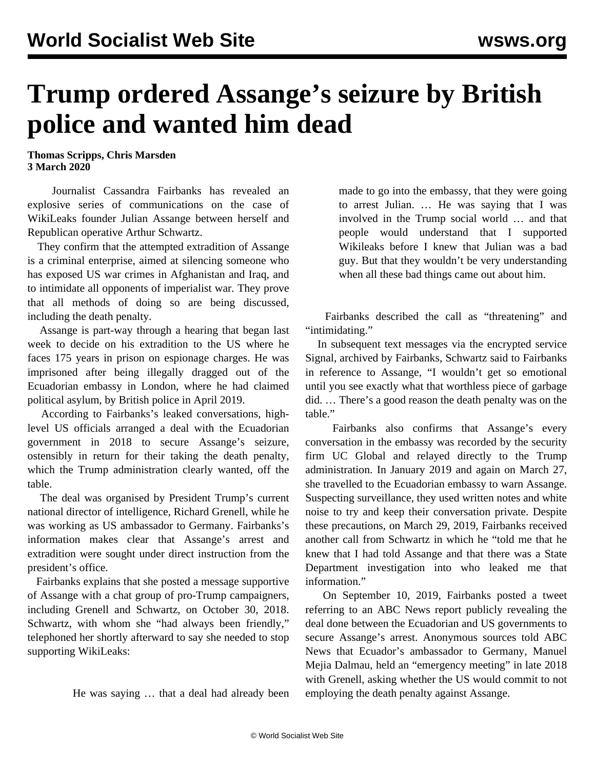## **Trump ordered Assange's seizure by British police and wanted him dead**

**Thomas Scripps, Chris Marsden 3 March 2020**

 Journalist Cassandra Fairbanks has revealed an explosive series of communications on the case of WikiLeaks founder Julian Assange between herself and Republican operative Arthur Schwartz.

 They confirm that the attempted extradition of Assange is a criminal enterprise, aimed at silencing someone who has exposed US war crimes in Afghanistan and Iraq, and to intimidate all opponents of imperialist war. They prove that all methods of doing so are being discussed, including the death penalty.

 Assange is part-way through a hearing that began last week to decide on his extradition to the US where he faces 175 years in prison on espionage charges. He was imprisoned after being illegally dragged out of the Ecuadorian embassy in London, where he had claimed political asylum, by British police in April 2019.

 According to Fairbanks's leaked conversations, highlevel US officials arranged a deal with the Ecuadorian government in 2018 to secure Assange's seizure, ostensibly in return for their taking the death penalty, which the Trump administration clearly wanted, off the table.

 The deal was organised by President Trump's current national director of intelligence, Richard Grenell, while he was working as US ambassador to Germany. Fairbanks's information makes clear that Assange's arrest and extradition were sought under direct instruction from the president's office.

 Fairbanks explains that she posted a message supportive of Assange with a chat group of pro-Trump campaigners, including Grenell and Schwartz, on October 30, 2018. Schwartz, with whom she "had always been friendly," telephoned her shortly afterward to say she needed to stop supporting WikiLeaks:

He was saying … that a deal had already been

made to go into the embassy, that they were going to arrest Julian. … He was saying that I was involved in the Trump social world … and that people would understand that I supported Wikileaks before I knew that Julian was a bad guy. But that they wouldn't be very understanding when all these bad things came out about him.

 Fairbanks described the call as "threatening" and "intimidating."

 In subsequent text messages via the encrypted service Signal, archived by Fairbanks, Schwartz said to Fairbanks in reference to Assange, "I wouldn't get so emotional until you see exactly what that worthless piece of garbage did. … There's a good reason the death penalty was on the table."

 Fairbanks also confirms that Assange's every conversation in the embassy was recorded by the security firm UC Global and relayed directly to the Trump administration. In January 2019 and again on March 27, she travelled to the Ecuadorian embassy to warn Assange. Suspecting surveillance, they used written notes and white noise to try and keep their conversation private. Despite these precautions, on March 29, 2019, Fairbanks received another call from Schwartz in which he "told me that he knew that I had told Assange and that there was a State Department investigation into who leaked me that information."

 On September 10, 2019, Fairbanks posted a tweet referring to an ABC News report publicly revealing the deal done between the Ecuadorian and US governments to secure Assange's arrest. Anonymous sources told ABC News that Ecuador's ambassador to Germany, Manuel Mejia Dalmau, held an "emergency meeting" in late 2018 with Grenell, asking whether the US would commit to not employing the death penalty against Assange.